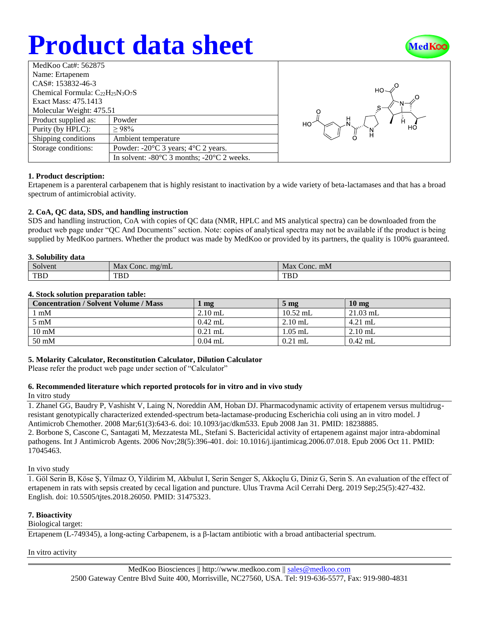# **Product data sheet**



| MedKoo Cat#: 562875                     |                                                                |  |  |  |
|-----------------------------------------|----------------------------------------------------------------|--|--|--|
| Name: Ertapenem                         |                                                                |  |  |  |
| CAS#: 153832-46-3                       |                                                                |  |  |  |
| Chemical Formula: $C_{22}H_{25}N_3O_7S$ |                                                                |  |  |  |
| Exact Mass: 475.1413                    |                                                                |  |  |  |
| Molecular Weight: 475.51                |                                                                |  |  |  |
| Product supplied as:                    | Powder                                                         |  |  |  |
| Purity (by HPLC):                       | >98%                                                           |  |  |  |
| Shipping conditions                     | Ambient temperature                                            |  |  |  |
| Storage conditions:                     | Powder: $-20^{\circ}$ C 3 years; $4^{\circ}$ C 2 years.        |  |  |  |
|                                         | In solvent: $-80^{\circ}$ C 3 months; $-20^{\circ}$ C 2 weeks. |  |  |  |



## **1. Product description:**

Ertapenem is a parenteral carbapenem that is highly resistant to inactivation by a wide variety of beta-lactamases and that has a broad spectrum of antimicrobial activity.

## **2. CoA, QC data, SDS, and handling instruction**

SDS and handling instruction, CoA with copies of QC data (NMR, HPLC and MS analytical spectra) can be downloaded from the product web page under "QC And Documents" section. Note: copies of analytical spectra may not be available if the product is being supplied by MedKoo partners. Whether the product was made by MedKoo or provided by its partners, the quality is 100% guaranteed.

## **3. Solubility data**

| $\sim$<br>Solvent | Max<br>mg/mL<br>Conc. | Max<br>Conc. mM |
|-------------------|-----------------------|-----------------|
| <b>TBD</b>        | <b>TBD</b>            | <b>TBL</b>      |

## **4. Stock solution preparation table:**

| <b>Concentration / Solvent Volume / Mass</b> | mg        | 5 <sub>mg</sub> | $10 \text{ mg}$ |
|----------------------------------------------|-----------|-----------------|-----------------|
| $\lfloor$ mM                                 | $2.10$ mL | $10.52$ mL      | $21.03$ mL      |
| $5 \text{ mM}$                               | $0.42$ mL | $2.10$ mL       | $4.21$ mL       |
| $10 \text{ mM}$                              | $0.21$ mL | $1.05$ mL       | $2.10$ mL       |
| $50 \text{ mM}$                              | $0.04$ mL | $0.21$ mL       | $0.42$ mL       |

## **5. Molarity Calculator, Reconstitution Calculator, Dilution Calculator**

Please refer the product web page under section of "Calculator"

## **6. Recommended literature which reported protocols for in vitro and in vivo study**

## In vitro study

1. Zhanel GG, Baudry P, Vashisht V, Laing N, Noreddin AM, Hoban DJ. Pharmacodynamic activity of ertapenem versus multidrugresistant genotypically characterized extended-spectrum beta-lactamase-producing Escherichia coli using an in vitro model. J Antimicrob Chemother. 2008 Mar;61(3):643-6. doi: 10.1093/jac/dkm533. Epub 2008 Jan 31. PMID: 18238885.

2. Borbone S, Cascone C, Santagati M, Mezzatesta ML, Stefani S. Bactericidal activity of ertapenem against major intra-abdominal pathogens. Int J Antimicrob Agents. 2006 Nov;28(5):396-401. doi: 10.1016/j.ijantimicag.2006.07.018. Epub 2006 Oct 11. PMID: 17045463.

## In vivo study

1. Göl Serin B, Köse Ş, Yilmaz O, Yildirim M, Akbulut I, Serin Senger S, Akkoçlu G, Diniz G, Serin S. An evaluation of the effect of ertapenem in rats with sepsis created by cecal ligation and puncture. Ulus Travma Acil Cerrahi Derg. 2019 Sep;25(5):427-432. English. doi: 10.5505/tjtes.2018.26050. PMID: 31475323.

## **7. Bioactivity**

## Biological target:

Ertapenem (L-749345), a long-acting Carbapenem, is a β-lactam antibiotic with a broad antibacterial spectrum.

In vitro activity